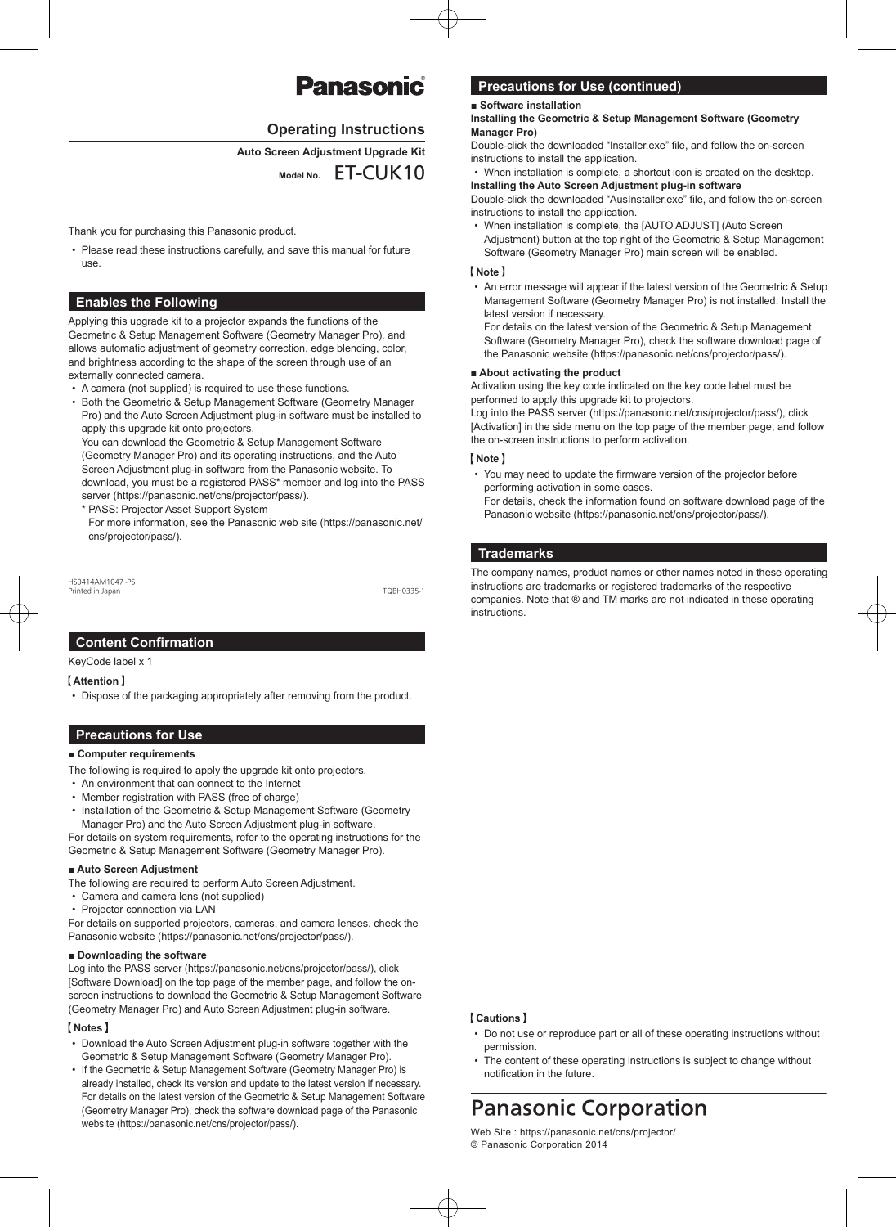# Panasonic

## **Operating Instructions**

**Kit Upgrade Adjustment Screen Auto**

Model No. ET-CUK10

Thank you for purchasing this Panasonic product.

• Please read these instructions carefully, and save this manual for future .use

## **Enables the Following**

Applying this upgrade kit to a projector expands the functions of the Geometric & Setup Management Software (Geometry Manager Pro), and allows automatic adjustment of geometry correction, edge blending, color, and brightness according to the shape of the screen through use of an externally connected camera.

- A camera (not supplied) is required to use these functions.
- Both the Geometric & Setup Management Software (Geometry Manager Pro) and the Auto Screen Adjustment plug-in software must be installed to apply this upgrade kit onto projectors.

You can download the Geometric & Setup Management Software (Geometry Manager Pro) and its operating instructions, and the Auto Screen Adjustment plug-in software from the Panasonic website. To download, you must be a registered PASS\* member and log into the PASS server (https://panasonic.net/cns/projector/pass/).

\* PASS: Projector Asset Support System

For more information, see the Panasonic web site (https://panasonic.net/ cns/projector/pass/).

HS0414AM1047-PS Printed in Japan in the Community of the Community of the Community of the Community of the Community of the Community of the Community of the Community of the Community of the Community of the Community of the Community o

## **Content Confirmation**

## KeyCode label x 1

**Attention**

• Dispose of the packaging appropriately after removing from the product.

## **Precautions for Use**

## ■ Computer requirements

- The following is required to apply the upgrade kit onto projectors.
- An environment that can connect to the Internet
- Member registration with PASS (free of charge)
- Installation of the Geometric & Setup Management Software (Geometry Manager Pro) and the Auto Screen Adjustment plug-in software.

For details on system requirements, refer to the operating instructions for the Geometric & Setup Management Software (Geometry Manager Pro).

#### ■ Auto Screen Adjustment

The following are required to perform Auto Screen Adjustment.

- Camera and camera lens (not supplied)
- Projector connection via LAN

For details on supported projectors, cameras, and camera lenses, check the Panasonic website (https://panasonic.net/cns/projector/pass/).

#### ■ Downloading the software

Log into the PASS server (https://panasonic.net/cns/projector/pass/), click screen instructions to download the Geometric & Setup Management Software [Software Download] on the top page of the member page, and follow the on-(Geometry Manager Pro) and Auto Screen Adjustment plug-in software.

## **Notes**

- Download the Auto Screen Adjustment plug-in software together with the Geometric & Setup Management Software (Geometry Manager Pro).
- If the Geometric & Setup Management Software (Geometry Manager Pro) is already installed, check its version and update to the latest version if necessary. For details on the latest version of the Geometric & Setup Management Software (Geometry Manager Pro), check the software download page of the Panasonic website (https://panasonic.net/cns/projector/pass/).

# **Precautions for Use (continued)**

#### ■ Software installation

#### **Installing the Geometric & Setup Management Software (Geometry) Manager** Pro)

Double-click the downloaded "Installer exe" file, and follow the on-screen instructions to install the application.

When installation is complete, a shortcut icon is created on the desktop. **installing the Auto Screen Adjustment plug-in software** 

Double-click the downloaded "AusInstaller.exe" file, and follow the on-screen instructions to install the application.

When installation is complete, the [AUTO ADJUST] (Auto Screen Adjustment) button at the top right of the Geometric & Setup Management Software (Geometry Manager Pro) main screen will be enabled.

## **Note**

• An error message will appear if the latest version of the Geometric & Setup Management Software (Geometry Manager Pro) is not installed. Install the latest version if necessary.

For details on the latest version of the Geometric & Setup Management Software (Geometry Manager Pro), check the software download page of the Panasonic website (https://panasonic.net/cns/projector/pass/).

## ■ **About** activating the product

Activation using the key code indicated on the key code label must be performed to apply this upgrade kit to projectors.

Log into the PASS server (https://panasonic.net/cns/projector/pass/), click [Activation] in the side menu on the top page of the member page, and follow the on-screen instructions to perform activation.

## **Note**

• You may need to update the firmware version of the projector before performing activation in some cases. For details, check the information found on software download page of the

Panasonic website (https://panasonic.net/cns/projector/pass/).

## **Trademarks**

The company names, product names or other names noted in these operating instructions are trademarks or registered trademarks of the respective companies. Note that ® and TM marks are not indicated in these operating instructions.

#### **Cautions**

- Do not use or reproduce part or all of these operating instructions without .permission
- The content of these operating instructions is subject to change without notification in the future

# **Panasonic Corporation**

Web Site : https://panasonic.net/cns/projector/ © Panasonic Corporation 2014